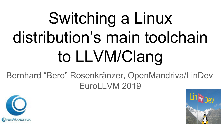# Switching a Linux distribution's main toolchain to LLVM/Clang

Bernhard "Bero" Rosenkränzer, OpenMandriva/LinDev EuroLLVM 2019



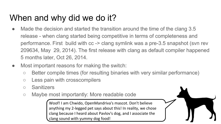# When and why did we do it?

- Made the decision and started the transition around the time of the clang 3.5 release - when clang started being competitive in terms of completeness and performance. First build with cc -> clang symlink was a pre-3.5 snapshot (svn rev 209634, May 29, 2014). The first release with clang as default compiler happened 5 months later, Oct 26, 2014.
- Most important reasons for making the switch:
	- Better compile times (for resulting binaries with very similar performance)
	- Less pain with crosscompilers
	- Sanitizers
	- Maybe most importantly: More readable code

Woof! I am Chwido, OpenMandriva's mascot. Don't believe anything my 2-legged pet says about this! In reality, we chose clang because I heard about Pavlov's dog, and I associate the clang sound with yummy dog food!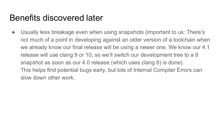#### Benefits discovered later

• Usually less breakage even when using snapshots (important to us: There's not much of a point in developing against an older version of a toolchain when we already know our final release will be using a newer one. We know our 4.1 release will use clang 9 or 10, so we'll switch our development tree to a 9 snapshot as soon as our 4.0 release (which uses clang 8) is done). This helps find potential bugs early, but lots of Internal Compiler Errors can slow down other work.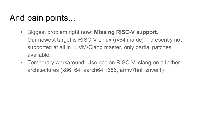- Biggest problem right now: **Missing RISC-V support.** Our newest target is RISC-V Linux (rv64imafdc) -- presently not supported at all in LLVM/Clang master, only partial patches available.
- Temporary workaround: Use gcc on RISC-V, clang on all other architectures (x86\_64, aarch64, i686, armv7hnl, znver1)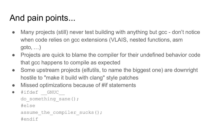- Many projects (still) never test building with anything but gcc don't notice when code relies on gcc extensions (VLAIS, nested functions, asm goto, …)
- Projects are quick to blame the compiler for their undefined behavior code that gcc happens to compile as expected
- Some upstream projects (elfutils, to name the biggest one) are downright hostile to "make it build with clang" style patches
- Missed optimizations because of #if statements

```
• #ifdef GNUC
  do something sane();
  #else
  assume the compiler sucks();
  #endif
```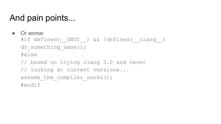• Or worse:

#if defined( GNUC ) && !defined( clang ) do something sane(); #else // based on trying clang 3.0 and never

// looking at current versions...

assume the compiler sucks();

#endif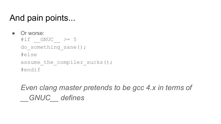- Or worse:  $\# \text{if}$  GNUC  $\geq$  5 do something sane(); #else assume the compiler sucks(); #endif
	- *Even clang master pretends to be gcc 4.x in terms of \_\_GNUC\_\_ defines*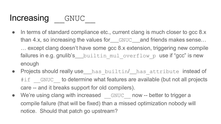## Increasing GNUC

- In terms of standard compliance etc., current clang is much closer to gcc 8.x than 4.x, so increasing the values for  $GNUC$  and friends makes sense... … except clang doesn't have some gcc 8.x extension, triggering new compile failures in e.g. gnulib's builtin mul overflow p use if "gcc" is new enough
- Projects should really use\_\_\_has\_builtin/ has attribute instead of #if GNUC to determine what features are available (but not all projects care -- and it breaks support for old compilers).
- We're using clang with increased GNUC now -- better to trigger a compile failure (that will be fixed) than a missed optimization nobody will notice. Should that patch go upstream?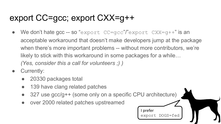- $\bullet$  We don't hate gcc -- so "export CC=gcc"/"export CXX=g++" is an acceptable workaround that doesn't make developers jump at the package when there's more important problems -- without more contributors, we're likely to stick with this workaround in some packages for a while… *(Yes, consider this a call for volunteers ;) )*
- Currently:
	- 20330 packages total
	- 139 have clang related patches
	- 327 use gcc/g++ (some only on a specific CPU architecture)

I prefer

export DOGS=fed

over 2000 related patches upstreamed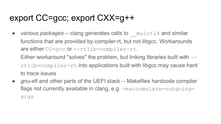• *various packages* -- clang generates calls to muloti4 and similar functions that are provided by compiler-rt, but not libgcc. Workarounds are either CC=gcc or --rtlib=compiler-rt.

Either workaround "solves" the problem, but linking libraries built with - rtlib=compiler-rt into applications built with libgcc may cause hard to trace issues

● *gnu-efi* and other parts of the UEFI stack -- Makefiles hardcode compiler flags not currently available in clang, e.g. -maccumulate-outgoingargs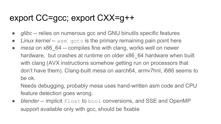- *glibc* -- relies on numerous gcc and GNU binutils specific features
- **•** *Linux kernel* -- asm goto is the primary remaining pain point here
- *mesa* on x86 64 -- compiles fine with clang, works well on newer hardware, but crashes at runtime on older x86 64 hardware when built with clang (AVX instructions somehow getting run on processors that don't have them). Clang-built mesa on aarch64, armv7hnl, i686 seems to be ok.

Needs debugging, probably mesa uses hand-written asm code and CPU feature detection goes wrong.

• *blender* -- implicit float to bool conversions, and SSE and OpenMP support available only with gcc, should be fixable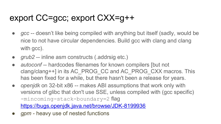- *gcc* -- doesn't like being compiled with anything but itself (sadly, would be nice to not have circular dependencies. Build gcc with clang and clang with gcc).
- *grub2* -- inline asm constructs (.addrsig etc.)
- *autoconf* -- hardcodes filenames for known compilers [but not clang/clang++] in its AC\_PROG\_CC and AC\_PROG\_CXX macros. This has been fixed for a while, but there hasn't been a release for years.
- *openjdk* on 32-bit x86 -- makes ABI assumptions that work only with versions of glibc that don't use SSE, unless compiled with (gcc specific) -mincoming-stack-boundary=2 flag https://bugs.openjdk.java.net/browse/JDK-8199936
- gpm heavy use of nested functions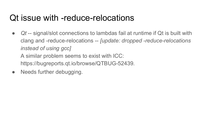#### Qt issue with -reduce-relocations

● *Qt* -- signal/slot connections to lambdas fail at runtime if Qt is built with clang and -reduce-relocations -- *[update: dropped -reduce-relocations instead of using gcc]*

A similar problem seems to exist with ICC: https://bugreports.qt.io/browse/QTBUG-52439.

• Needs further debugging.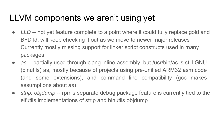## LLVM components we aren't using yet

- *LLD* -- not yet feature complete to a point where it could fully replace gold and BFD ld, will keep checking it out as we move to newer major releases Currently mostly missing support for linker script constructs used in many packages
- *as* -- partially used through clang inline assembly, but /usr/bin/as is still GNU (binutils) as, mostly because of projects using pre-unified ARM32 asm code (and some extensions), and command line compatibility (gcc makes assumptions about *as*)
- *strip, objdump* -- rpm's separate debug package feature is currently tied to the elfutils implementations of strip and binutils objdump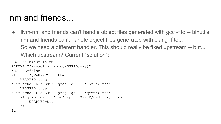#### nm and friends...

• Ivm-nm and friends can't handle object files generated with gcc -fito -- binutils nm and friends can't handle object files generated with clang -flto... So we need a different handler. This should really be fixed upstream -- but... Which upstream? Current "solution":

```
REAL_NM=binutils-nm
PARENT="$(readlink /proc/$PPID/exe)"
WRAPPED=false
if [ -z "$PARENT" ]; then
    WRAPPED=true
elif echo "$PARENT" |grep -qE -- '-nm$'; then
    WRAPPED=true
elif echo "$PARENT" |grep -qE -- 'qemu'; then
    if grep -qE -- '-nm' /proc/$PPID/cmdline; then
        WRAPPED=true
    fi
fi
```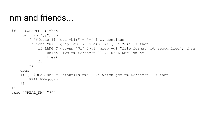#### nm and friends...

```
if ! "$WRAPPED"; then
    for i in "$@"; do
        \lceil "$(echo $i |cut -b1)" = '-' \lceil && continue
        if echo "\sin" |qrep -qE '\.(o|a)\sin & [ -e "\sin" ]; then
            if LANG=C gcc-nm "$i" 2>&1 |grep -qi "file format not recognized"; then
                which llvm-nm &>/dev/null && REAL NM=llvm-nm
                break
            fi
        fi
    done
    if [ "$REAL NM" = 'binutils-nm' ] && which gcc-nm \&>/dev/null; then
        REAL_NM=gcc-nm
    fi
fi
exec "$REAL NM" "$@"
```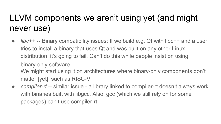# LLVM components we aren't using yet (and might never use)

● *libc++* -- Binary compatibility issues: If we build e.g. Qt with libc++ and a user tries to install a binary that uses Qt and was built on any other Linux distribution, it's going to fail. Can't do this while people insist on using binary-only software.

We might start using it on architectures where binary-only components don't matter [yet], such as RISC-V

• *compiler-rt* -- similar issue - a library linked to compiler-rt doesn't always work with binaries built with libgcc. Also, gcc (which we still rely on for some packages) can't use compiler-rt